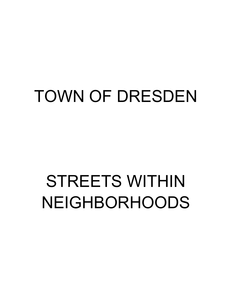## TOWN OF DRESDEN

# STREETS WITHIN NEIGHBORHOODS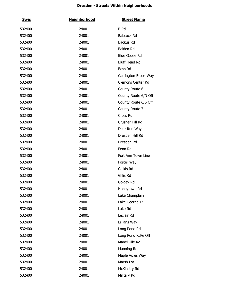| <u>Swis</u> | <b>Neighborhood</b> | <b>Street Name</b>   |
|-------------|---------------------|----------------------|
| 532400      | 24001               | B Rd                 |
| 532400      | 24001               | Babcock Rd           |
| 532400      | 24001               | Backus Rd            |
| 532400      | 24001               | Belden Rd            |
| 532400      | 24001               | Blue Goose Rd        |
| 532400      | 24001               | <b>Bluff Head Rd</b> |
| 532400      | 24001               | Boss Rd              |
| 532400      | 24001               | Carrington Brook Way |
| 532400      | 24001               | Clemons Center Rd    |
| 532400      | 24001               | County Route 6       |
| 532400      | 24001               | County Route 6/N Off |
| 532400      | 24001               | County Route 6/S Off |
| 532400      | 24001               | County Route 7       |
| 532400      | 24001               | Cross Rd             |
| 532400      | 24001               | Crusher Hill Rd      |
| 532400      | 24001               | Deer Run Way         |
| 532400      | 24001               | Dresden Hill Rd      |
| 532400      | 24001               | Dresden Rd           |
| 532400      | 24001               | Fenn Rd              |
| 532400      | 24001               | Fort Ann Town Line   |
| 532400      | 24001               | Foster Way           |
| 532400      | 24001               | Gaikis Rd            |
| 532400      | 24001               | Gillis Rd            |
| 532400      | 24001               | Goldey Rd            |
| 532400      | 24001               | Honeytown Rd         |
| 532400      | 24001               | Lake Champlain       |
| 532400      | 24001               | Lake George Tr       |
| 532400      | 24001               | Lake Rd              |
| 532400      | 24001               | Leclair Rd           |
| 532400      | 24001               | Lillians Way         |
| 532400      | 24001               | Long Pond Rd         |
| 532400      | 24001               | Long Pond Rd/e Off   |
| 532400      | 24001               | Manellville Rd       |
| 532400      | 24001               | Manning Rd           |
| 532400      | 24001               | Maple Acres Way      |
| 532400      | 24001               | Marsh Lot            |
| 532400      | 24001               | McKinstry Rd         |
| 532400      | 24001               | Military Rd          |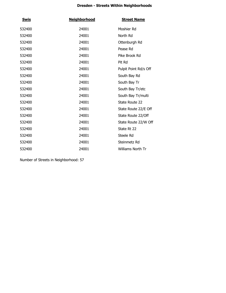| <u>Swis</u> | <b>Neighborhood</b> | <b>Street Name</b>       |
|-------------|---------------------|--------------------------|
| 532400      | 24001               | Moshier Rd               |
| 532400      | 24001               | North Rd                 |
| 532400      | 24001               | Ottenburgh Rd            |
| 532400      | 24001               | Pease Rd                 |
| 532400      | 24001               | Pike Brook Rd            |
| 532400      | 24001               | Pit Rd                   |
| 532400      | 24001               | Pulpit Point Rd/s Off    |
| 532400      | 24001               | South Bay Rd             |
| 532400      | 24001               | South Bay Tr             |
| 532400      | 24001               | South Bay Tr/etc         |
| 532400      | 24001               | South Bay Tr/multi       |
| 532400      | 24001               | State Route 22           |
| 532400      | 24001               | State Route 22/E Off     |
| 532400      | 24001               | State Route 22/Off       |
| 532400      | 24001               | State Route 22/W Off     |
| 532400      | 24001               | State Rt 22              |
| 532400      | 24001               | Steele Rd                |
| 532400      | 24001               | Steinmetz Rd             |
| 532400      | 24001               | <b>Williams North Tr</b> |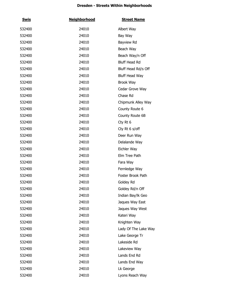| <u>Swis</u> | <b>Neighborhood</b> | <b>Street Name</b>    |
|-------------|---------------------|-----------------------|
| 532400      | 24010               | Albert Way            |
| 532400      | 24010               | Bay Way               |
| 532400      | 24010               | Bayview Rd            |
| 532400      | 24010               | Beach Way             |
| 532400      | 24010               | Beach Way/n Off       |
| 532400      | 24010               | <b>Bluff Head Rd</b>  |
| 532400      | 24010               | Bluff Head Rd/s Off   |
| 532400      | 24010               | <b>Bluff Head Way</b> |
| 532400      | 24010               | Brook Way             |
| 532400      | 24010               | Cedar Grove Way       |
| 532400      | 24010               | Chase Rd              |
| 532400      | 24010               | Chipmunk Alley Way    |
| 532400      | 24010               | County Route 6        |
| 532400      | 24010               | County Route 6B       |
| 532400      | 24010               | Cty Rt 6              |
| 532400      | 24010               | Cty Rt 6 s/off        |
| 532400      | 24010               | Deer Run Way          |
| 532400      | 24010               | Delalande Way         |
| 532400      | 24010               | Eichler Way           |
| 532400      | 24010               | Elm Tree Path         |
| 532400      | 24010               | Fara Way              |
| 532400      | 24010               | Fernledge Way         |
| 532400      | 24010               | Foster Brook Path     |
| 532400      | 24010               | Goldey Rd             |
| 532400      | 24010               | Goldey Rd/n Off       |
| 532400      | 24010               | Indian Bay/lk Geo     |
| 532400      | 24010               | Jaques Way East       |
| 532400      | 24010               | Jaques Way West       |
| 532400      | 24010               | Kateri Way            |
| 532400      | 24010               | Knighten Way          |
| 532400      | 24010               | Lady Of The Lake Way  |
| 532400      | 24010               | Lake George Tr        |
| 532400      | 24010               | Lakeside Rd           |
| 532400      | 24010               | Lakeview Way          |
| 532400      | 24010               | Lands End Rd          |
| 532400      | 24010               | Lands End Way         |
| 532400      | 24010               | Lk George             |
| 532400      | 24010               | Lyons Reach Way       |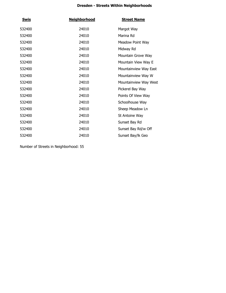| <u>Swis</u> | <b>Neighborhood</b> | <b>Street Name</b>    |
|-------------|---------------------|-----------------------|
| 532400      | 24010               | Margot Way            |
| 532400      | 24010               | Marina Rd             |
| 532400      | 24010               | Meadow Point Way      |
| 532400      | 24010               | Midway Rd             |
| 532400      | 24010               | Mountain Grove Way    |
| 532400      | 24010               | Mountain View Way E   |
| 532400      | 24010               | Mountainview Way East |
| 532400      | 24010               | Mountainview Way W    |
| 532400      | 24010               | Mountainview Way West |
| 532400      | 24010               | Pickerel Bay Way      |
| 532400      | 24010               | Points Of View Way    |
| 532400      | 24010               | Schoolhouse Way       |
| 532400      | 24010               | Sheep Meadow Ln       |
| 532400      | 24010               | St Antoine Way        |
| 532400      | 24010               | Sunset Bay Rd         |
| 532400      | 24010               | Sunset Bay Rd/w Off   |
| 532400      | 24010               | Sunset Bay/lk Geo     |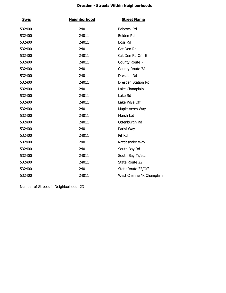| <b>Swis</b> | <b>Neighborhood</b> | <b>Street Name</b>        |
|-------------|---------------------|---------------------------|
| 532400      | 24011               | Babcock Rd                |
| 532400      | 24011               | Belden Rd                 |
| 532400      | 24011               | Boss Rd                   |
| 532400      | 24011               | Cat Den Rd                |
| 532400      | 24011               | Cat Den Rd Off E          |
| 532400      | 24011               | County Route 7            |
| 532400      | 24011               | County Route 7A           |
| 532400      | 24011               | Dresden Rd                |
| 532400      | 24011               | Dresden Station Rd        |
| 532400      | 24011               | Lake Champlain            |
| 532400      | 24011               | Lake Rd                   |
| 532400      | 24011               | Lake Rd/e Off             |
| 532400      | 24011               | Maple Acres Way           |
| 532400      | 24011               | Marsh Lot                 |
| 532400      | 24011               | Ottenburgh Rd             |
| 532400      | 24011               | Parisi Way                |
| 532400      | 24011               | Pit Rd                    |
| 532400      | 24011               | Rattlesnake Way           |
| 532400      | 24011               | South Bay Rd              |
| 532400      | 24011               | South Bay Tr/etc          |
| 532400      | 24011               | State Route 22            |
| 532400      | 24011               | State Route 22/Off        |
| 532400      | 24011               | West Channel/lk Champlain |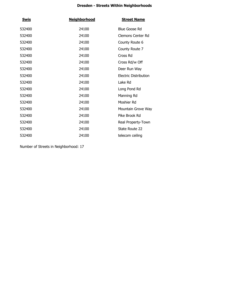| <b>Swis</b> | <b>Neighborhood</b> | <b>Street Name</b>    |
|-------------|---------------------|-----------------------|
| 532400      | 24100               | <b>Blue Goose Rd</b>  |
| 532400      | 24100               | Clemons Center Rd     |
| 532400      | 24100               | County Route 6        |
| 532400      | 24100               | County Route 7        |
| 532400      | 24100               | Cross Rd              |
| 532400      | 24100               | Cross Rd/w Off        |
| 532400      | 24100               | Deer Run Way          |
| 532400      | 24100               | Electric Distribution |
| 532400      | 24100               | Lake Rd               |
| 532400      | 24100               | Long Pond Rd          |
| 532400      | 24100               | Manning Rd            |
| 532400      | 24100               | Moshier Rd            |
| 532400      | 24100               | Mountain Grove Way    |
| 532400      | 24100               | Pike Brook Rd         |
| 532400      | 24100               | Real Property-Town    |
| 532400      | 24100               | State Route 22        |
| 532400      | 24100               | telecom ceiling       |
|             |                     |                       |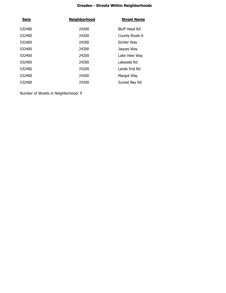| <b>Swis</b> | <b>Neighborhood</b> | <b>Street Name</b> |
|-------------|---------------------|--------------------|
| 532400      | 24200               | Bluff Head Rd      |
| 532400      | 24200               | County Route 6     |
| 532400      | 24200               | Eichler Way        |
| 532400      | 24200               | Jaques Way         |
| 532400      | 24200               | Lake View Way      |
| 532400      | 24200               | Lakeside Rd        |
| 532400      | 24200               | Lands End Rd       |
| 532400      | 24200               | Margot Way         |
| 532400      | 24200               | Sunset Bay Rd      |